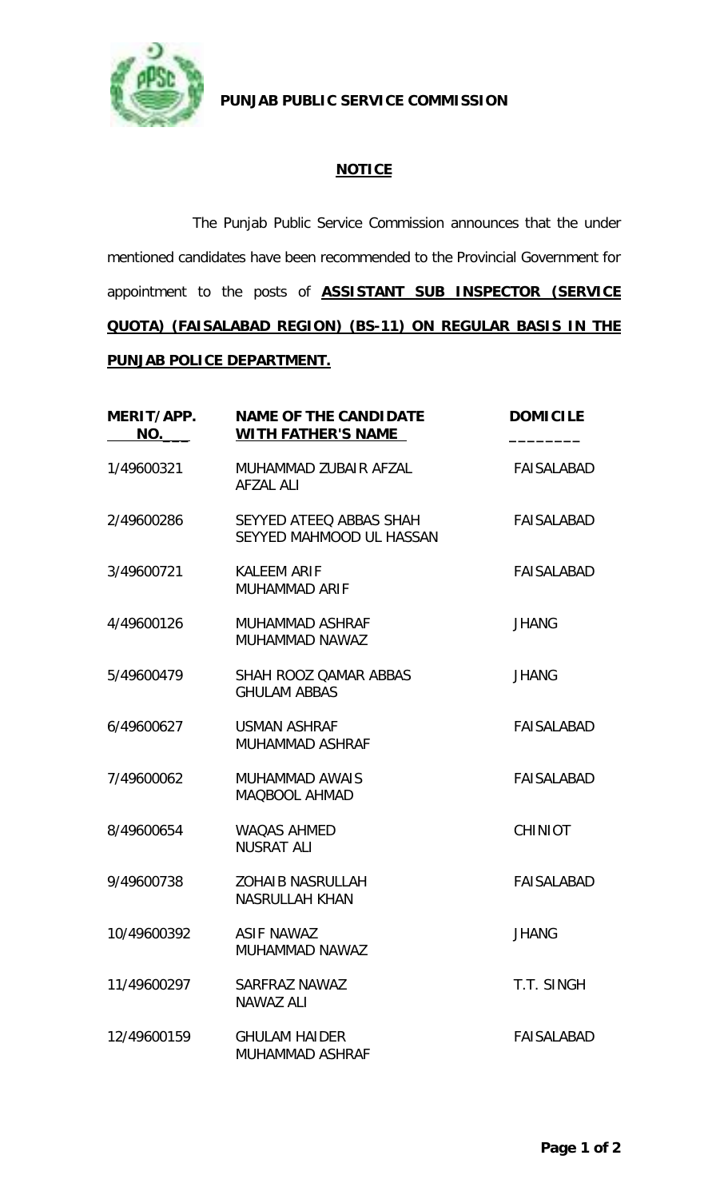

**PUNJAB PUBLIC SERVICE COMMISSION**

## **NOTICE**

The Punjab Public Service Commission announces that the under mentioned candidates have been recommended to the Provincial Government for appointment to the posts of **ASSISTANT SUB INSPECTOR (SERVICE QUOTA) (FAISALABAD REGION) (BS-11) ON REGULAR BASIS IN THE PUNJAB POLICE DEPARTMENT.**

| MERIT/APP.<br>NO. | <b>NAME OF THE CANDIDATE</b><br><b>WITH FATHER'S NAME</b> | <b>DOMICILE</b>   |
|-------------------|-----------------------------------------------------------|-------------------|
| 1/49600321        | MUHAMMAD ZUBAIR AFZAL<br><b>AFZAL ALI</b>                 | <b>FAISALABAD</b> |
| 2/49600286        | SEYYED ATEEQ ABBAS SHAH<br>SEYYED MAHMOOD UL HASSAN       | FAISALABAD        |
| 3/49600721        | <b>KALEEM ARIF</b><br><b>MUHAMMAD ARIF</b>                | FAISALABAD        |
| 4/49600126        | MUHAMMAD ASHRAF<br>MUHAMMAD NAWAZ                         | <b>JHANG</b>      |
| 5/49600479        | SHAH ROOZ QAMAR ABBAS<br><b>GHULAM ABBAS</b>              | <b>JHANG</b>      |
| 6/49600627        | <b>USMAN ASHRAF</b><br><b>MUHAMMAD ASHRAF</b>             | <b>FAISALABAD</b> |
| 7/49600062        | <b>MUHAMMAD AWAIS</b><br><b>MAQBOOL AHMAD</b>             | <b>FAISALABAD</b> |
| 8/49600654        | <b>WAQAS AHMED</b><br><b>NUSRAT ALI</b>                   | <b>CHINIOT</b>    |
| 9/49600738        | <b>ZOHAIB NASRULLAH</b><br><b>NASRULLAH KHAN</b>          | <b>FAISALABAD</b> |
| 10/49600392       | <b>ASIF NAWAZ</b><br>MUHAMMAD NAWAZ                       | <b>JHANG</b>      |
| 11/49600297       | SARFRAZ NAWAZ<br><b>NAWAZ ALI</b>                         | T.T. SINGH        |
| 12/49600159       | <b>GHULAM HAIDER</b><br>MUHAMMAD ASHRAF                   | FAISALABAD        |